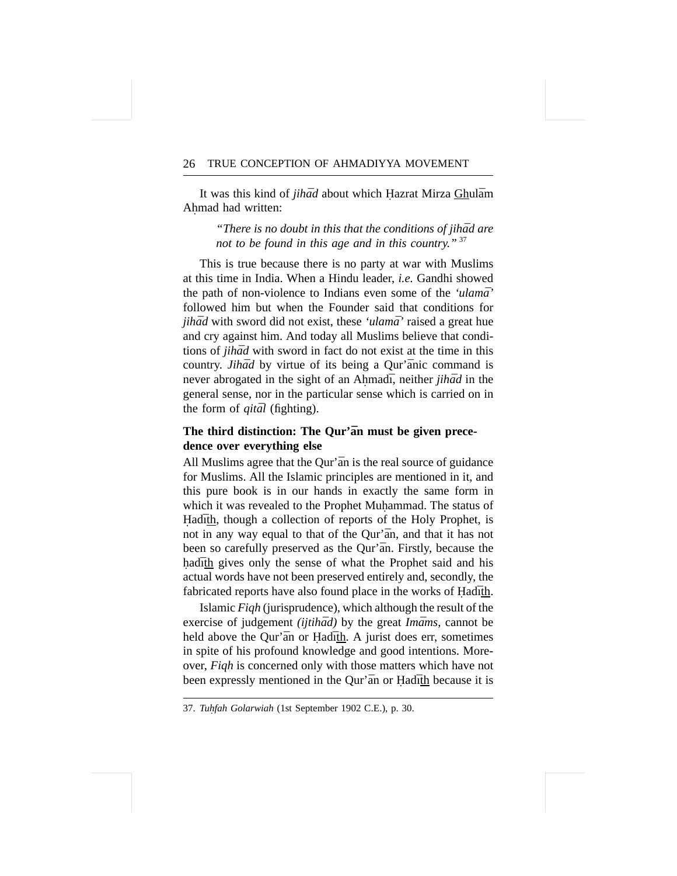It was this kind of *jihad* about which Hazrat Mirza Ghulam Ahmad had written: **.**

> *"There is no doubt in this that the conditions of jihad are not to be found in this age and in this country."* <sup>37</sup>

This is true because there is no party at war with Muslims at this time in India. When a Hindu leader, *i.e.* Gandhi showed the path of non-violence to Indians even some of the *'ulama*' followed him but when the Founder said that conditions for *jihād* with sword did not exist, these 'ulamā' raised a great hue and cry against him. And today all Muslims believe that conditions of *jihad* with sword in fact do not exist at the time in this country. *Jihad* by virtue of its being a Qur'anic command is never abrogated in the sight of an Ahmad<sub>1</sub>, neither *jihad* in the general sense, nor in the particular sense which is carried on in the form of *gital* (fighting).

# The third distinction: The Qur'an must be given prece**dence over everything else**

All Muslims agree that the Qur'an is the real source of guidance for Muslims. All the Islamic principles are mentioned in it, and this pure book is in our hands in exactly the same form in which it was revealed to the Prophet Muhammad. The status of **.** Hadith, though a collection of reports of the Holy Prophet, is not in any way equal to that of the Qur'an, and that it has not been so carefully preserved as the Qur'an. Firstly, because the had <u>ith</u> gives only the sense of what the Prophet said and his actual words have not been preserved entirely and, secondly, the fabricated reports have also found place in the works of Had $\bar{a}$ th.

Islamic *Fiqh* (jurisprudence), which although the result of the exercise of judgement *(ijtihad)* by the great *Imams*, cannot be held above the Qur'an or Hadith. A jurist does err, sometimes in spite of his profound knowledge and good intentions. Moreover, *Fiqh* is concerned only with those matters which have not been expressly mentioned in the Qur'an or Had th because it is

<sup>37.</sup> *Tuhfah Golarwiah* (1st September 1902 C.E.), p. 30.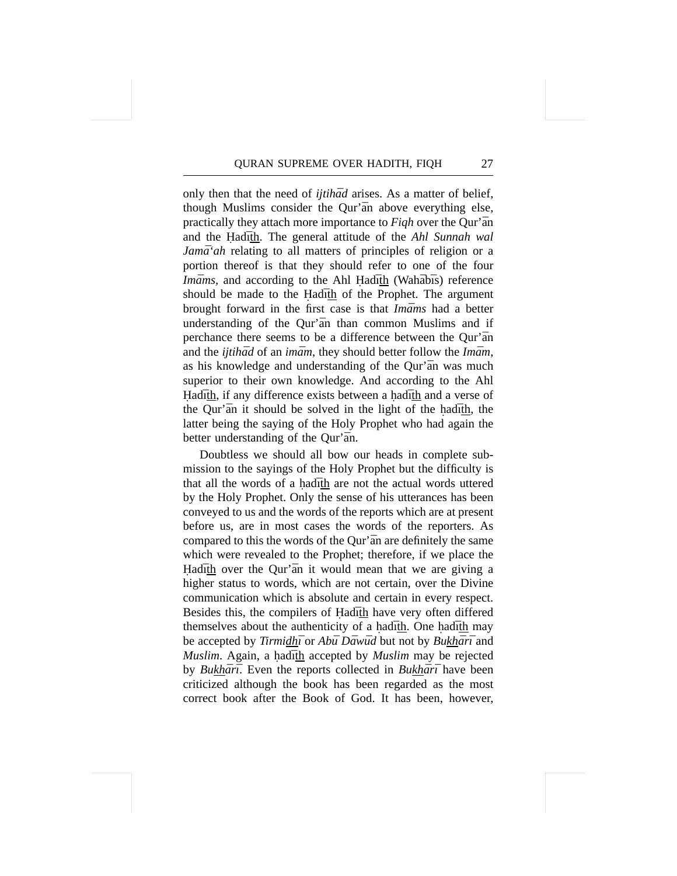only then that the need of *ijtihad* arises. As a matter of belief, though Muslims consider the Qur'an above everything else, practically they attach more importance to *Figh* over the Qur'an and the Hadith. The general attitude of the *Ahl Sunnah wal Jamā*<sup>'</sup>*ah* relating to all matters of principles of religion or a portion thereof is that they should refer to one of the four *Imāms*, and according to the Ahl Hadīth (Wahābīs) reference should be made to the Hadith of the Prophet. The argument brought forward in the first case is that *Imams* had a better understanding of the Qur'an than common Muslims and if perchance there seems to be a difference between the Qur'an and the *ijtihad* of an *imam*, they should better follow the *Imam*, as his knowledge and understanding of the Our'an was much superior to their own knowledge. And according to the Ahl Hadīth, if any difference exists between a hadīth and a verse of the Qur'an it should be solved in the light of the had ith, the latter being the saying of the Holy Prophet who had again the better understanding of the Qur'an.

Doubtless we should all bow our heads in complete submission to the sayings of the Holy Prophet but the difficulty is that all the words of a had  $\bar{a}$  that are not the actual words uttered by the Holy Prophet. Only the sense of his utterances has been conveyed to us and the words of the reports which are at present before us, are in most cases the words of the reporters. As compared to this the words of the Qur'an are definitely the same which were revealed to the Prophet; therefore, if we place the Had th over the Qur'an it would mean that we are giving a higher status to words, which are not certain, over the Divine communication which is absolute and certain in every respect. Besides this, the compilers of Hadith have very often differed themselves about the authenticity of a hadith. One hadith may be accepted by *Tirmidhī* or *Abū Dāwūd* but not by *Bukhārī* and *Muslim.* Again, a had th accepted by *Muslim* may be rejected by *Bukhārī*. Even the reports collected in *Bukhārī* have been criticized although the book has been regarded as the most correct book after the Book of God. It has been, however,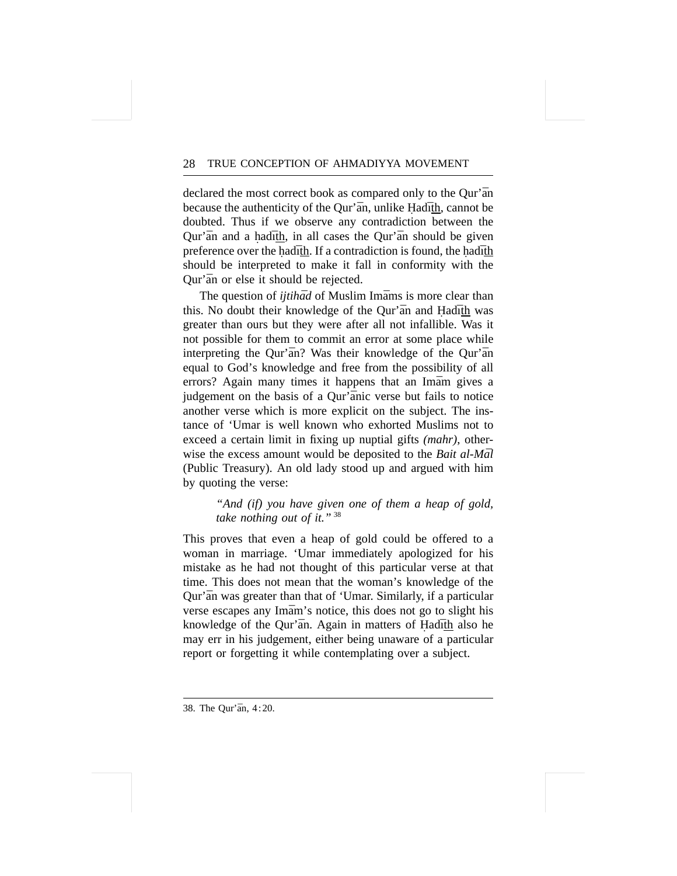declared the most correct book as compared only to the Qur'an because the authenticity of the Qur'an, unlike Hadith, cannot be doubted. Thus if we observe any contradiction between the Qur'an and a had th, in all cases the Qur'an should be given preference over the had $\bar{a}$ th. If a contradiction is found, the had $\bar{a}$ th should be interpreted to make it fall in conformity with the Qur'an or else it should be rejected.

The question of *ijtihad* of Muslim Imams is more clear than this. No doubt their knowledge of the Qur'an and Hadith was greater than ours but they were after all not infallible. Was it not possible for them to commit an error at some place while interpreting the Qur'an? Was their knowledge of the Qur'an equal to God's knowledge and free from the possibility of all errors? Again many times it happens that an Imam gives a judgement on the basis of a Qur'anic verse but fails to notice another verse which is more explicit on the subject. The instance of 'Umar is well known who exhorted Muslims not to exceed a certain limit in fixing up nuptial gifts *(mahr)*, otherwise the excess amount would be deposited to the *Bait al-Mal* (Public Treasury). An old lady stood up and argued with him by quoting the verse:

> *"And (if) you have given one of them a heap of gold, take nothing out of it."* <sup>38</sup>

This proves that even a heap of gold could be offered to a woman in marriage. 'Umar immediately apologized for his mistake as he had not thought of this particular verse at that time. This does not mean that the woman's knowledge of the Qur'an was greater than that of 'Umar. Similarly, if a particular verse escapes any Imam's notice, this does not go to slight his knowledge of the Qur'an. Again in matters of Hadith also he may err in his judgement, either being unaware of a particular report or forgetting it while contemplating over a subject.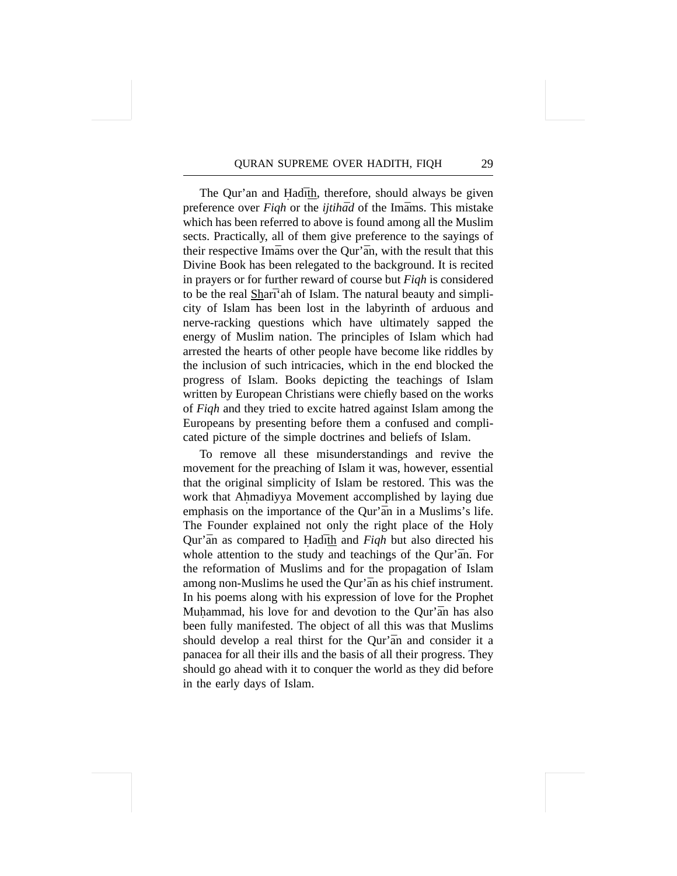The Qur'an and Hadith, therefore, should always be given preference over *Figh* or the *ijtihad* of the Imams. This mistake which has been referred to above is found among all the Muslim sects. Practically, all of them give preference to the sayings of their respective Imams over the Qur'an, with the result that this Divine Book has been relegated to the background. It is recited in prayers or for further reward of course but *Fiqh* is considered to be the real Sharī'ah of Islam. The natural beauty and simplicity of Islam has been lost in the labyrinth of arduous and nerve-racking questions which have ultimately sapped the energy of Muslim nation. The principles of Islam which had arrested the hearts of other people have become like riddles by the inclusion of such intricacies, which in the end blocked the progress of Islam. Books depicting the teachings of Islam written by European Christians were chiefly based on the works of *Fiqh* and they tried to excite hatred against Islam among the Europeans by presenting before them a confused and complicated picture of the simple doctrines and beliefs of Islam.

To remove all these misunderstandings and revive the movement for the preaching of Islam it was, however, essential that the original simplicity of Islam be restored. This was the work that Ahmadiyya Movement accomplished by laying due **.** emphasis on the importance of the Qur'an in a Muslims's life. The Founder explained not only the right place of the Holy Qur'an as compared to Hadith and *Figh* but also directed his whole attention to the study and teachings of the Qur'an. For the reformation of Muslims and for the propagation of Islam among non-Muslims he used the Qur'an as his chief instrument. In his poems along with his expression of love for the Prophet Muhammad, his love for and devotion to the Qur'an has also been fully manifested. The object of all this was that Muslims should develop a real thirst for the Qur'an and consider it a panacea for all their ills and the basis of all their progress. They should go ahead with it to conquer the world as they did before in the early days of Islam.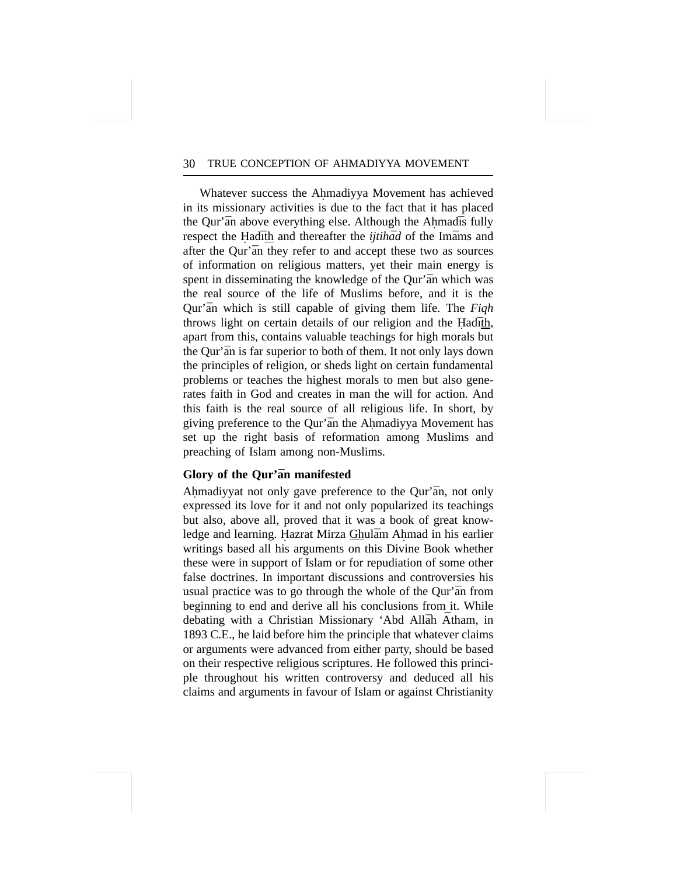Whatever success the Ahmadiyya Movement has achieved **.** in its missionary activities is due to the fact that it has placed the Qur'an above everything else. Although the Ahmad is fully respect the Hadith and thereafter the *ijtihad* of the Imams and after the Qur'an they refer to and accept these two as sources of information on religious matters, yet their main energy is spent in disseminating the knowledge of the Qur'an which was the real source of the life of Muslims before, and it is the Qur'an which is still capable of giving them life. The *Figh* throws light on certain details of our religion and the Hadith, apart from this, contains valuable teachings for high morals but the Qur'an is far superior to both of them. It not only lays down the principles of religion, or sheds light on certain fundamental problems or teaches the highest morals to men but also generates faith in God and creates in man the will for action. And this faith is the real source of all religious life. In short, by giving preference to the Qur'an the Ahmadiyya Movement has set up the right basis of reformation among Muslims and preaching of Islam among non-Muslims.

# **Glory of the Qur'an manifested**

Ahmadiyyat not only gave preference to the Qur'an, not only expressed its love for it and not only popularized its teachings but also, above all, proved that it was a book of great knowledge and learning. Hazrat Mirza Ghulām Ahmad in his earlier writings based all his arguments on this Divine Book whether these were in support of Islam or for repudiation of some other false doctrines. In important discussions and controversies his usual practice was to go through the whole of the Qur'an from beginning to end and derive all his conclusions from it. While debating with a Christian Missionary 'Abd Allah Atham, in 1893 C.E., he laid before him the principle that whatever claims or arguments were advanced from either party, should be based on their respective religious scriptures. He followed this principle throughout his written controversy and deduced all his claims and arguments in favour of Islam or against Christianity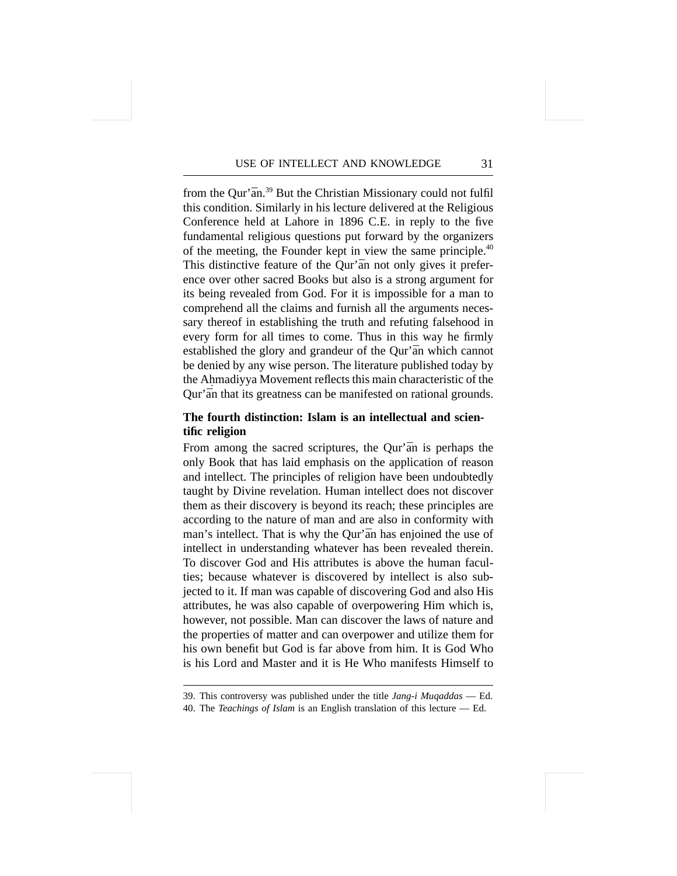from the Qur' $\bar{a}n^{39}$  But the Christian Missionary could not fulfil this condition. Similarly in his lecture delivered at the Religious Conference held at Lahore in 1896 C.E. in reply to the five fundamental religious questions put forward by the organizers of the meeting, the Founder kept in view the same principle.<sup>40</sup> This distinctive feature of the Qur'an not only gives it preference over other sacred Books but also is a strong argument for its being revealed from God. For it is impossible for a man to comprehend all the claims and furnish all the arguments necessary thereof in establishing the truth and refuting falsehood in every form for all times to come. Thus in this way he firmly established the glory and grandeur of the Qur'an which cannot be denied by any wise person. The literature published today by the Ahmadiyya Movement reflects this main characteristic of the Qur'an that its greatness can be manifested on rational grounds.

# **The fourth distinction: Islam is an intellectual and scientific religion**

From among the sacred scriptures, the Qur'an is perhaps the only Book that has laid emphasis on the application of reason and intellect. The principles of religion have been undoubtedly taught by Divine revelation. Human intellect does not discover them as their discovery is beyond its reach; these principles are according to the nature of man and are also in conformity with man's intellect. That is why the Qur'an has enjoined the use of intellect in understanding whatever has been revealed therein. To discover God and His attributes is above the human faculties; because whatever is discovered by intellect is also subjected to it. If man was capable of discovering God and also His attributes, he was also capable of overpowering Him which is, however, not possible. Man can discover the laws of nature and the properties of matter and can overpower and utilize them for his own benefit but God is far above from him. It is God Who is his Lord and Master and it is He Who manifests Himself to

<sup>39.</sup> This controversy was published under the title *Jang-i Muqaddas* — Ed. 40. The *Teachings of Islam* is an English translation of this lecture — Ed.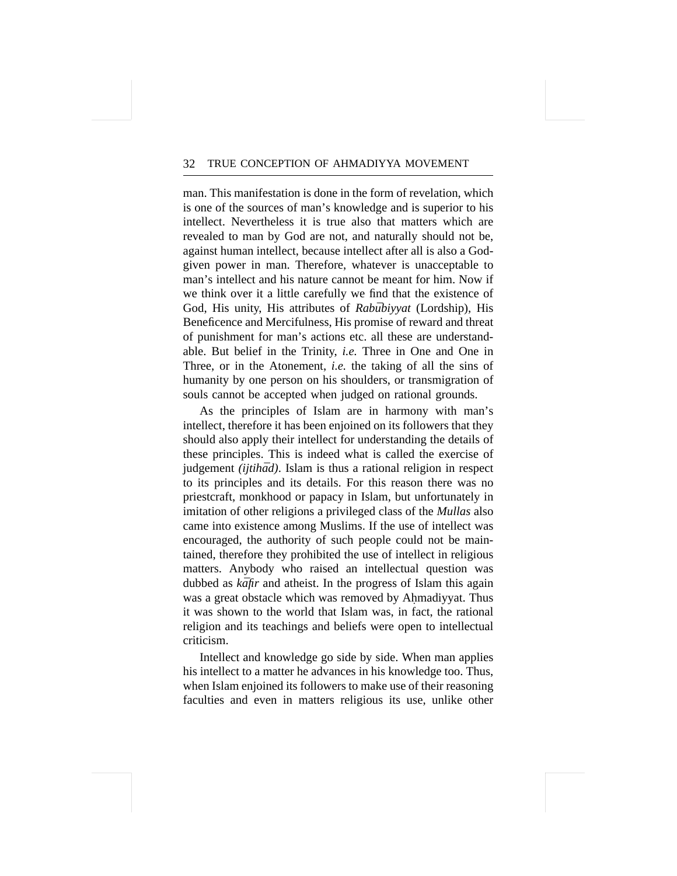man. This manifestation is done in the form of revelation, which is one of the sources of man's knowledge and is superior to his intellect. Nevertheless it is true also that matters which are revealed to man by God are not, and naturally should not be, against human intellect, because intellect after all is also a Godgiven power in man. Therefore, whatever is unacceptable to man's intellect and his nature cannot be meant for him. Now if we think over it a little carefully we find that the existence of God, His unity, His attributes of *Rabūbiyyat* (Lordship), His Beneficence and Mercifulness, His promise of reward and threat of punishment for man's actions etc. all these are understandable. But belief in the Trinity, *i.e.* Three in One and One in Three, or in the Atonement, *i.e.* the taking of all the sins of humanity by one person on his shoulders, or transmigration of souls cannot be accepted when judged on rational grounds.

As the principles of Islam are in harmony with man's intellect, therefore it has been enjoined on its followers that they should also apply their intellect for understanding the details of these principles. This is indeed what is called the exercise of judgement *(ijtihād)*. Islam is thus a rational religion in respect to its principles and its details. For this reason there was no priestcraft, monkhood or papacy in Islam, but unfortunately in imitation of other religions a privileged class of the *Mullas* also came into existence among Muslims. If the use of intellect was encouraged, the authority of such people could not be maintained, therefore they prohibited the use of intellect in religious matters. Anybody who raised an intellectual question was dubbed as *kafir* and atheist. In the progress of Islam this again was a great obstacle which was removed by Ahmadiyyat. Thus **.** it was shown to the world that Islam was, in fact, the rational religion and its teachings and beliefs were open to intellectual criticism.

Intellect and knowledge go side by side. When man applies his intellect to a matter he advances in his knowledge too. Thus, when Islam enjoined its followers to make use of their reasoning faculties and even in matters religious its use, unlike other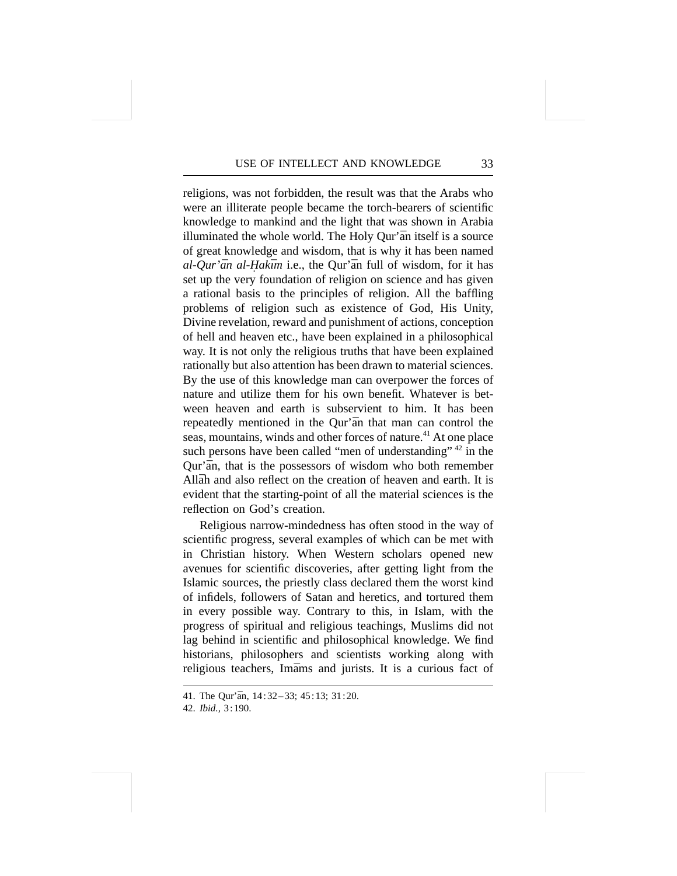religions, was not forbidden, the result was that the Arabs who were an illiterate people became the torch-bearers of scientific knowledge to mankind and the light that was shown in Arabia illuminated the whole world. The Holy Qur'an itself is a source of great knowledge and wisdom, that is why it has been named *al-Qur'ān al-Hakīm* i.e., the Qur'ān full of wisdom, for it has set up the very foundation of religion on science and has given a rational basis to the principles of religion. All the baffling problems of religion such as existence of God, His Unity, Divine revelation, reward and punishment of actions, conception of hell and heaven etc., have been explained in a philosophical way. It is not only the religious truths that have been explained rationally but also attention has been drawn to material sciences. By the use of this knowledge man can overpower the forces of nature and utilize them for his own benefit. Whatever is between heaven and earth is subservient to him. It has been repeatedly mentioned in the Our'an that man can control the seas, mountains, winds and other forces of nature.<sup>41</sup> At one place such persons have been called "men of understanding" <sup>42</sup> in the Qur'an, that is the possessors of wisdom who both remember Allah and also reflect on the creation of heaven and earth. It is evident that the starting-point of all the material sciences is the reflection on God's creation.

Religious narrow-mindedness has often stood in the way of scientific progress, several examples of which can be met with in Christian history. When Western scholars opened new avenues for scientific discoveries, after getting light from the Islamic sources, the priestly class declared them the worst kind of infidels, followers of Satan and heretics, and tortured them in every possible way. Contrary to this, in Islam, with the progress of spiritual and religious teachings, Muslims did not lag behind in scientific and philosophical knowledge. We find historians, philosophers and scientists working along with religious teachers, Imams and jurists. It is a curious fact of

<sup>41.</sup> The Our'an, 14:32-33; 45:13; 31:20.

<sup>42.</sup> *Ibid.,* 3:190.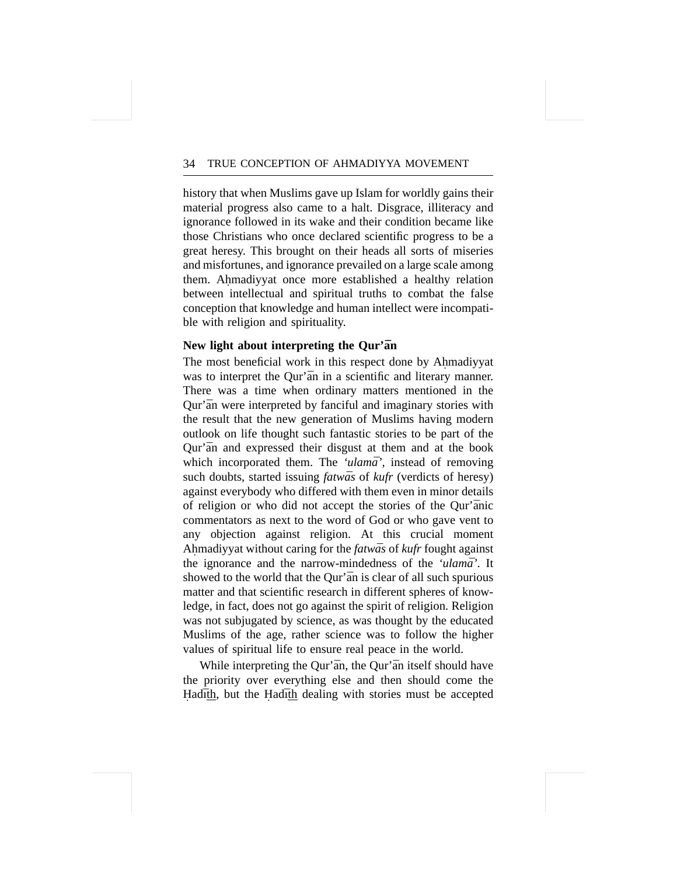history that when Muslims gave up Islam for worldly gains their material progress also came to a halt. Disgrace, illiteracy and ignorance followed in its wake and their condition became like those Christians who once declared scientific progress to be a great heresy. This brought on their heads all sorts of miseries and misfortunes, and ignorance prevailed on a large scale among them. Ahmadiyyat once more established a healthy relation **.** between intellectual and spiritual truths to combat the false conception that knowledge and human intellect were incompatible with religion and spirituality.

# New light about interpreting the Qur'an

The most beneficial work in this respect done by Ahmadiyyat **.** was to interpret the Our'an in a scientific and literary manner. There was a time when ordinary matters mentioned in the Qur'an were interpreted by fanciful and imaginary stories with the result that the new generation of Muslims having modern outlook on life thought such fantastic stories to be part of the Qur'an and expressed their disgust at them and at the book which incorporated them. The 'ulama', instead of removing such doubts, started issuing *fatwas* of *kufr* (verdicts of heresy) against everybody who differed with them even in minor details of religion or who did not accept the stories of the Our'anic commentators as next to the word of God or who gave vent to any objection against religion. At this crucial moment Ahmadiyyat without caring for the **.** *fatwa¯s* of *kufr* fought against the ignorance and the narrow-mindedness of the *'ulama*'. It showed to the world that the Qur'an is clear of all such spurious matter and that scientific research in different spheres of knowledge, in fact, does not go against the spirit of religion. Religion was not subjugated by science, as was thought by the educated Muslims of the age, rather science was to follow the higher values of spiritual life to ensure real peace in the world.

While interpreting the Qur'an, the Qur'an itself should have the priority over everything else and then should come the Hadith, but the Hadith dealing with stories must be accepted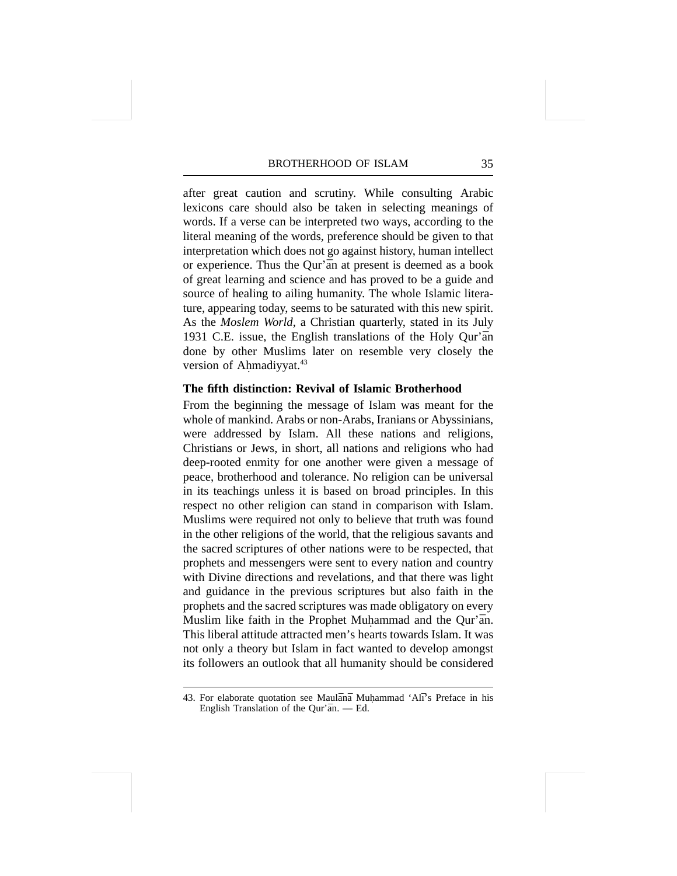after great caution and scrutiny. While consulting Arabic lexicons care should also be taken in selecting meanings of words. If a verse can be interpreted two ways, according to the literal meaning of the words, preference should be given to that interpretation which does not go against history, human intellect or experience. Thus the Qur'an at present is deemed as a book of great learning and science and has proved to be a guide and source of healing to ailing humanity. The whole Islamic literature, appearing today, seems to be saturated with this new spirit. As the *Moslem World*, a Christian quarterly, stated in its July 1931 C.E. issue, the English translations of the Holy Qur'an done by other Muslims later on resemble very closely the version of Ahmadiyyat. **.** 43

#### **The fifth distinction: Revival of Islamic Brotherhood**

From the beginning the message of Islam was meant for the whole of mankind. Arabs or non-Arabs, Iranians or Abyssinians, were addressed by Islam. All these nations and religions, Christians or Jews, in short, all nations and religions who had deep-rooted enmity for one another were given a message of peace, brotherhood and tolerance. No religion can be universal in its teachings unless it is based on broad principles. In this respect no other religion can stand in comparison with Islam. Muslims were required not only to believe that truth was found in the other religions of the world, that the religious savants and the sacred scriptures of other nations were to be respected, that prophets and messengers were sent to every nation and country with Divine directions and revelations, and that there was light and guidance in the previous scriptures but also faith in the prophets and the sacred scriptures was made obligatory on every Muslim like faith in the Prophet Muhammad and the Qur'an. This liberal attitude attracted men's hearts towards Islam. It was not only a theory but Islam in fact wanted to develop amongst its followers an outlook that all humanity should be considered

<sup>43.</sup> For elaborate quotation see Maulānā Muhammad 'Alī's Preface in his English Translation of the Our' $\bar{a}n$ . - Ed.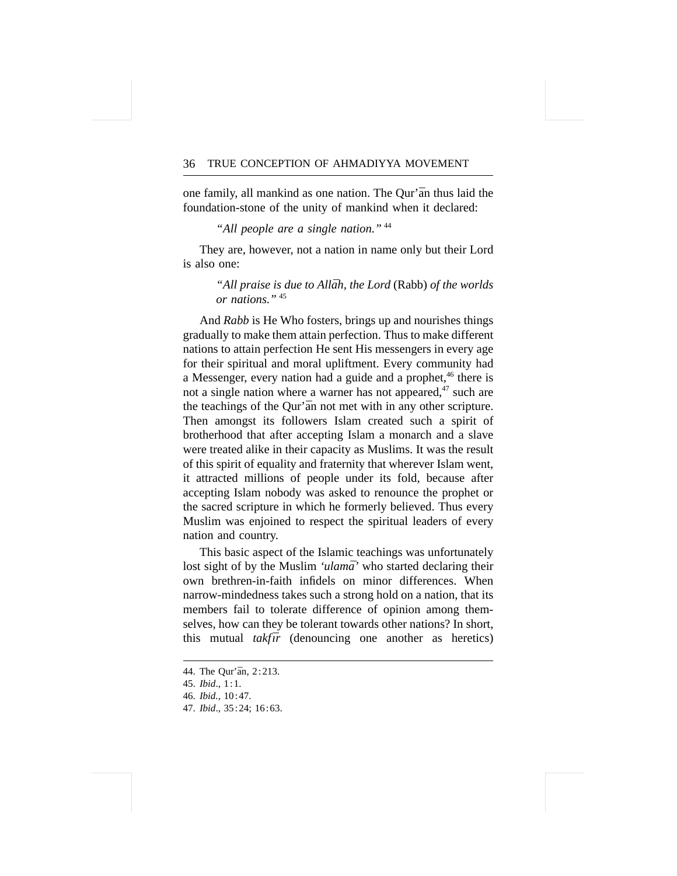one family, all mankind as one nation. The Qur'an thus laid the foundation-stone of the unity of mankind when it declared:

*"All people are a single nation."* <sup>44</sup>

They are, however, not a nation in name only but their Lord is also one:

> "All praise is due to Allāh, the Lord (Rabb) of the worlds *or nations."* <sup>45</sup>

And *Rabb* is He Who fosters, brings up and nourishes things gradually to make them attain perfection. Thus to make different nations to attain perfection He sent His messengers in every age for their spiritual and moral upliftment. Every community had a Messenger, every nation had a guide and a prophet,<sup>46</sup> there is not a single nation where a warner has not appeared.<sup>47</sup> such are the teachings of the Qur'an not met with in any other scripture. Then amongst its followers Islam created such a spirit of brotherhood that after accepting Islam a monarch and a slave were treated alike in their capacity as Muslims. It was the result of this spirit of equality and fraternity that wherever Islam went, it attracted millions of people under its fold, because after accepting Islam nobody was asked to renounce the prophet or the sacred scripture in which he formerly believed. Thus every Muslim was enjoined to respect the spiritual leaders of every nation and country.

This basic aspect of the Islamic teachings was unfortunately lost sight of by the Muslim *'ulama*' who started declaring their own brethren-in-faith infidels on minor differences. When narrow-mindedness takes such a strong hold on a nation, that its members fail to tolerate difference of opinion among themselves, how can they be tolerant towards other nations? In short, this mutual *takfor* (denouncing one another as heretics)

- 46. *Ibid.,* 10:47.
- 47. *Ibid*., 35:24; 16:63.

<sup>44.</sup> The Our'an, 2:213.

<sup>45.</sup> *Ibid*., 1:1.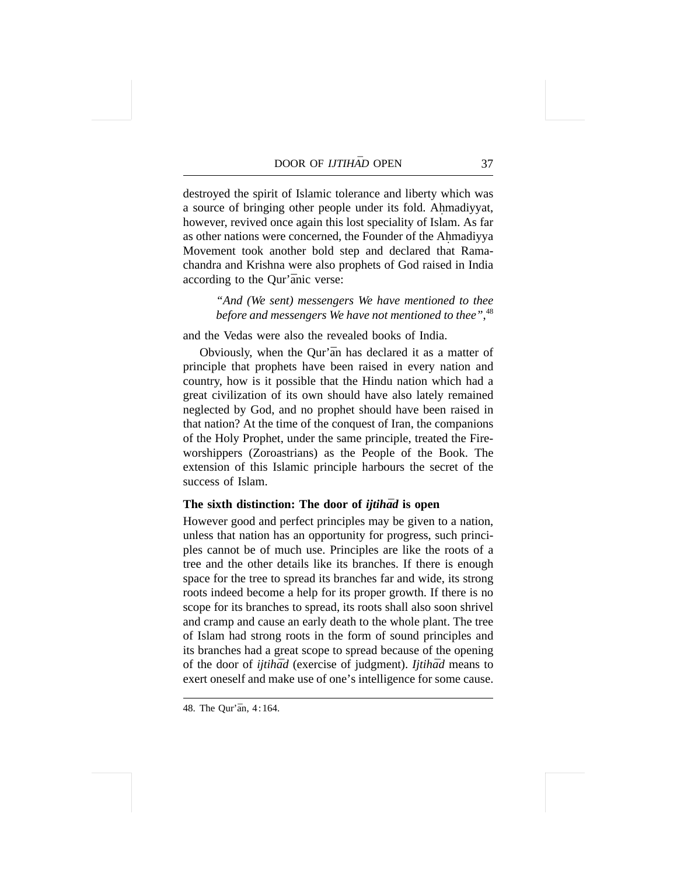destroyed the spirit of Islamic tolerance and liberty which was a source of bringing other people under its fold. Ahmadiyyat, **.** however, revived once again this lost speciality of Islam. As far as other nations were concerned, the Founder of the Ahmadiyya **.** Movement took another bold step and declared that Ramachandra and Krishna were also prophets of God raised in India according to the Qur'anic verse:

> *"And (We sent) messengers We have mentioned to thee before and messengers We have not mentioned to thee"*, 48

and the Vedas were also the revealed books of India.

Obviously, when the Qur'an has declared it as a matter of principle that prophets have been raised in every nation and country, how is it possible that the Hindu nation which had a great civilization of its own should have also lately remained neglected by God, and no prophet should have been raised in that nation? At the time of the conquest of Iran, the companions of the Holy Prophet, under the same principle, treated the Fireworshippers (Zoroastrians) as the People of the Book. The extension of this Islamic principle harbours the secret of the success of Islam.

# **The sixth distinction: The door of** *ijtihad* **is open**

However good and perfect principles may be given to a nation, unless that nation has an opportunity for progress, such principles cannot be of much use. Principles are like the roots of a tree and the other details like its branches. If there is enough space for the tree to spread its branches far and wide, its strong roots indeed become a help for its proper growth. If there is no scope for its branches to spread, its roots shall also soon shrivel and cramp and cause an early death to the whole plant. The tree of Islam had strong roots in the form of sound principles and its branches had a great scope to spread because of the opening of the door of *ijtihad* (exercise of judgment). *Ijtihad* means to exert oneself and make use of one's intelligence for some cause.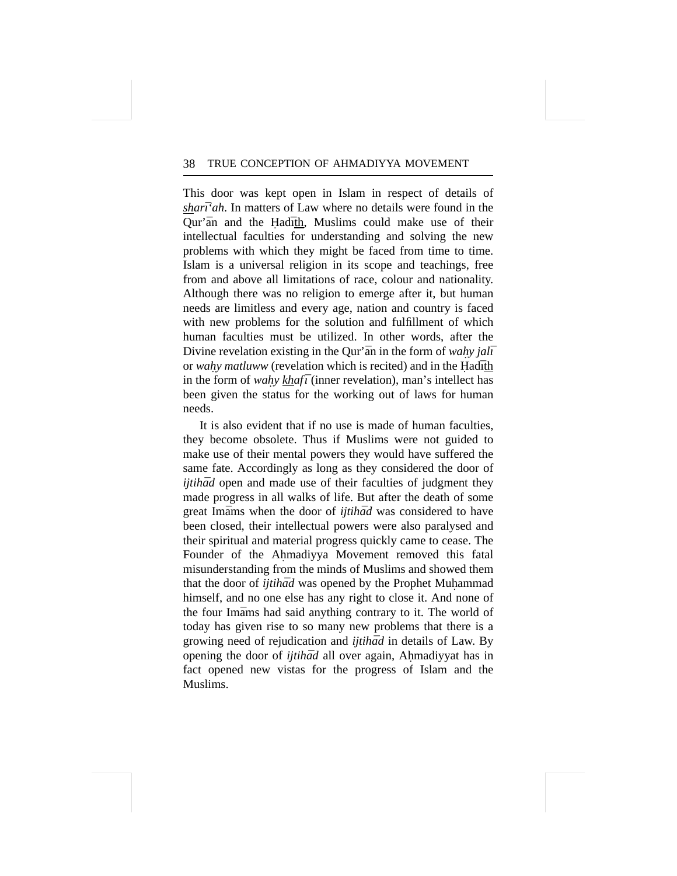This door was kept open in Islam in respect of details of *sharī'ah*. In matters of Law where no details were found in the Qur'an and the Hadith, Muslims could make use of their intellectual faculties for understanding and solving the new problems with which they might be faced from time to time. Islam is a universal religion in its scope and teachings, free from and above all limitations of race, colour and nationality. Although there was no religion to emerge after it, but human needs are limitless and every age, nation and country is faced with new problems for the solution and fulfillment of which human faculties must be utilized. In other words, after the Divine revelation existing in the Qur'an in the form of *wahy jali* or *wahy matluww* (revelation which is recited) and in the Hadīth in the form of *wahy khafī* (inner revelation), man's intellect has been given the status for the working out of laws for human needs.

It is also evident that if no use is made of human faculties, they become obsolete. Thus if Muslims were not guided to make use of their mental powers they would have suffered the same fate. Accordingly as long as they considered the door of *ijtihad* open and made use of their faculties of judgment they made progress in all walks of life. But after the death of some great Imams when the door of *ijtihad* was considered to have been closed, their intellectual powers were also paralysed and their spiritual and material progress quickly came to cease. The Founder of the Ahmadiyya Movement removed this fatal **.** misunderstanding from the minds of Muslims and showed them that the door of *ijtihad* was opened by the Prophet Muhammad himself, and no one else has any right to close it. And none of the four Imams had said anything contrary to it. The world of today has given rise to so many new problems that there is a growing need of rejudication and *ijtihad* in details of Law. By opening the door of *ijtihad* all over again, Ahmadiyyat has in fact opened new vistas for the progress of Islam and the Muslims.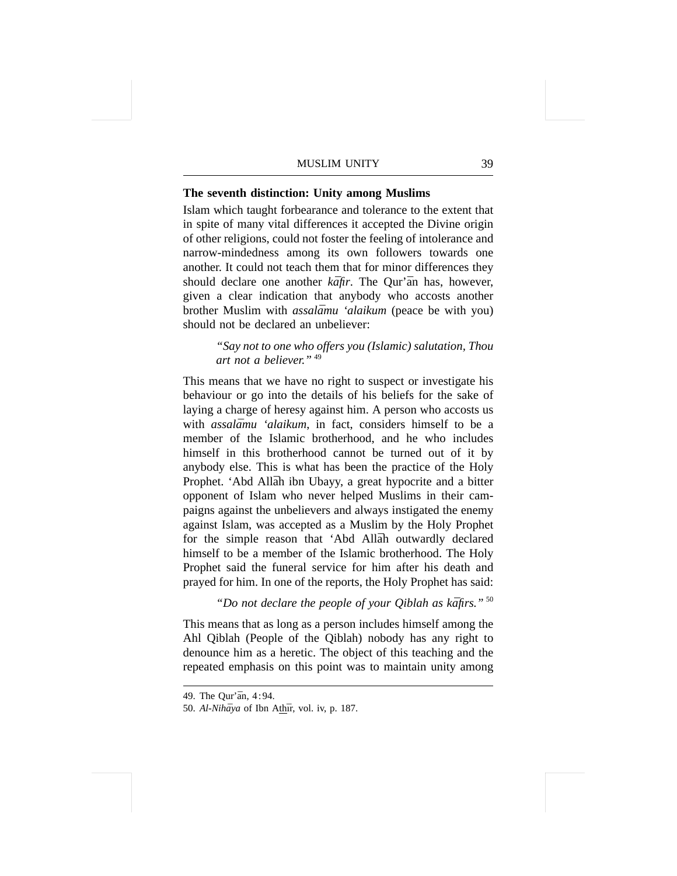# **The seventh distinction: Unity among Muslims**

Islam which taught forbearance and tolerance to the extent that in spite of many vital differences it accepted the Divine origin of other religions, could not foster the feeling of intolerance and narrow-mindedness among its own followers towards one another. It could not teach them that for minor differences they should declare one another *kafir*. The Qur'an has, however, given a clear indication that anybody who accosts another brother Muslim with *assalāmu 'alaikum* (peace be with you) should not be declared an unbeliever:

> *"Say not to one who offers you (Islamic) salutation, Thou art not a believer."* <sup>49</sup>

This means that we have no right to suspect or investigate his behaviour or go into the details of his beliefs for the sake of laying a charge of heresy against him. A person who accosts us with *assalāmu 'alaikum*, in fact, considers himself to be a member of the Islamic brotherhood, and he who includes himself in this brotherhood cannot be turned out of it by anybody else. This is what has been the practice of the Holy Prophet. 'Abd Allāh ibn Ubayy, a great hypocrite and a bitter opponent of Islam who never helped Muslims in their campaigns against the unbelievers and always instigated the enemy against Islam, was accepted as a Muslim by the Holy Prophet for the simple reason that 'Abd Allah outwardly declared himself to be a member of the Islamic brotherhood. The Holy Prophet said the funeral service for him after his death and prayed for him. In one of the reports, the Holy Prophet has said:

"Do not declare the people of your Qiblah as kāfirs."<sup>50</sup>

This means that as long as a person includes himself among the Ahl Qiblah (People of the Qiblah) nobody has any right to denounce him as a heretic. The object of this teaching and the repeated emphasis on this point was to maintain unity among

<sup>49.</sup> The Our'an, 4:94.

<sup>50.</sup> Al-Nihāya of Ibn Athīr, vol. iv, p. 187.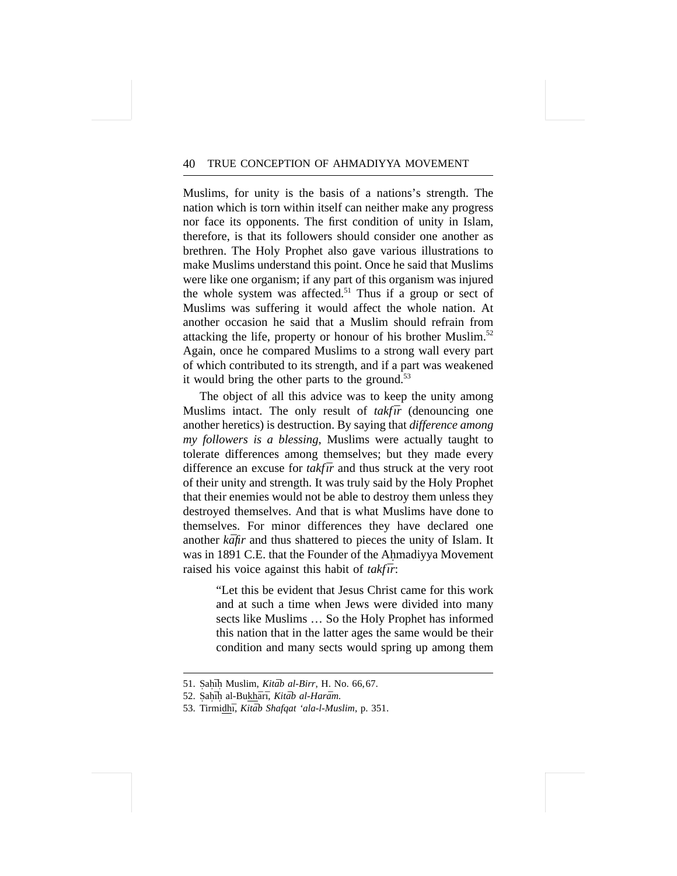Muslims, for unity is the basis of a nations's strength. The nation which is torn within itself can neither make any progress nor face its opponents. The first condition of unity in Islam, therefore, is that its followers should consider one another as brethren. The Holy Prophet also gave various illustrations to make Muslims understand this point. Once he said that Muslims were like one organism; if any part of this organism was injured the whole system was affected.<sup>51</sup> Thus if a group or sect of Muslims was suffering it would affect the whole nation. At another occasion he said that a Muslim should refrain from attacking the life, property or honour of his brother Muslim.<sup>52</sup> Again, once he compared Muslims to a strong wall every part of which contributed to its strength, and if a part was weakened it would bring the other parts to the ground. $53$ 

The object of all this advice was to keep the unity among Muslims intact. The only result of *takfir* (denouncing one another heretics) is destruction. By saying that *difference among my followers is a blessing*, Muslims were actually taught to tolerate differences among themselves; but they made every difference an excuse for *takfūr* and thus struck at the very root of their unity and strength. It was truly said by the Holy Prophet that their enemies would not be able to destroy them unless they destroyed themselves. And that is what Muslims have done to themselves. For minor differences they have declared one another *kafir* and thus shattered to pieces the unity of Islam. It was in 1891 C.E. that the Founder of the Ahmadiyya Movement **.** raised his voice against this habit of *takfir*:

> "Let this be evident that Jesus Christ came for this work and at such a time when Jews were divided into many sects like Muslims … So the Holy Prophet has informed this nation that in the latter ages the same would be their condition and many sects would spring up among them

<sup>51.</sup> Sahīḥ Muslim, *Kitāb al-Birr*, H. No. 66,67.

<sup>52.</sup> Sahīh al-Bukhārī, Kitāb al-Harām.

<sup>53.</sup> Tirmidhī, *Kitāb Shafqat 'ala-l-Muslim*, p. 351.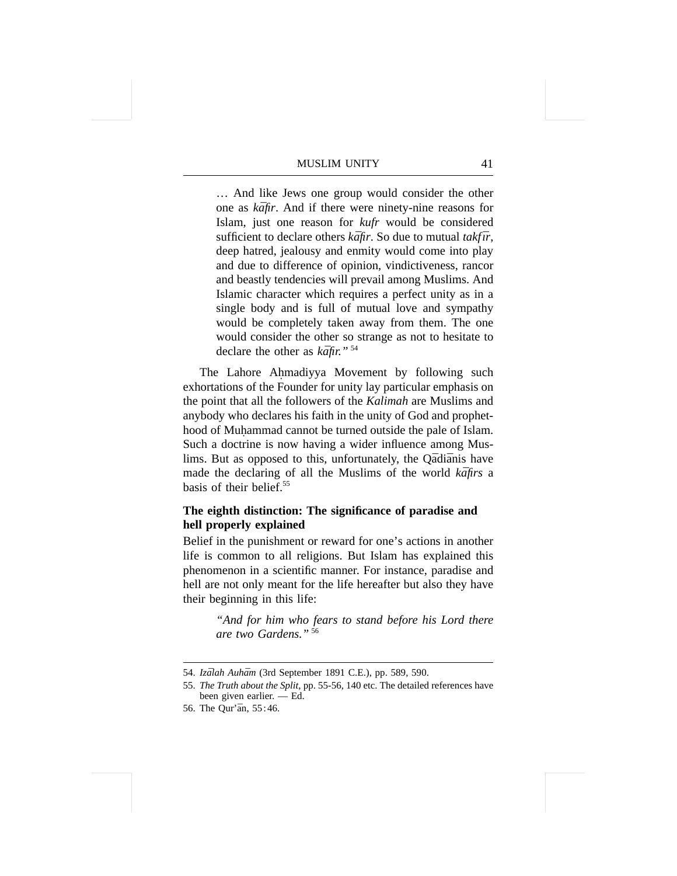… And like Jews one group would consider the other one as *kafir*. And if there were ninety-nine reasons for Islam, just one reason for *kufr* would be considered sufficient to declare others  $k\bar{a}$ fir. So due to mutual *takfūr*, deep hatred, jealousy and enmity would come into play and due to difference of opinion, vindictiveness, rancor and beastly tendencies will prevail among Muslims. And Islamic character which requires a perfect unity as in a single body and is full of mutual love and sympathy would be completely taken away from them. The one would consider the other so strange as not to hesitate to declare the other as  $k\bar{a}$ fir."<sup>54</sup>

The Lahore Ahmadiyya Movement by following such **.** exhortations of the Founder for unity lay particular emphasis on the point that all the followers of the *Kalimah* are Muslims and anybody who declares his faith in the unity of God and prophethood of Muhammad cannot be turned outside the pale of Islam. **.** Such a doctrine is now having a wider influence among Muslims. But as opposed to this, unfortunately, the Qādiānis have made the declaring of all the Muslims of the world *kafirs* a basis of their belief<sup>55</sup>

# **The eighth distinction: The significance of paradise and hell properly explained**

Belief in the punishment or reward for one's actions in another life is common to all religions. But Islam has explained this phenomenon in a scientific manner. For instance, paradise and hell are not only meant for the life hereafter but also they have their beginning in this life:

> *"And for him who fears to stand before his Lord there are two Gardens."* <sup>56</sup>

<sup>54.</sup> *Izālah Auhām* (3rd September 1891 C.E.), pp. 589, 590.

<sup>55.</sup> *The Truth about the Split*, pp. 55-56, 140 etc. The detailed references have been given earlier. — Ed.

<sup>56.</sup> The Qur'an, 55:46.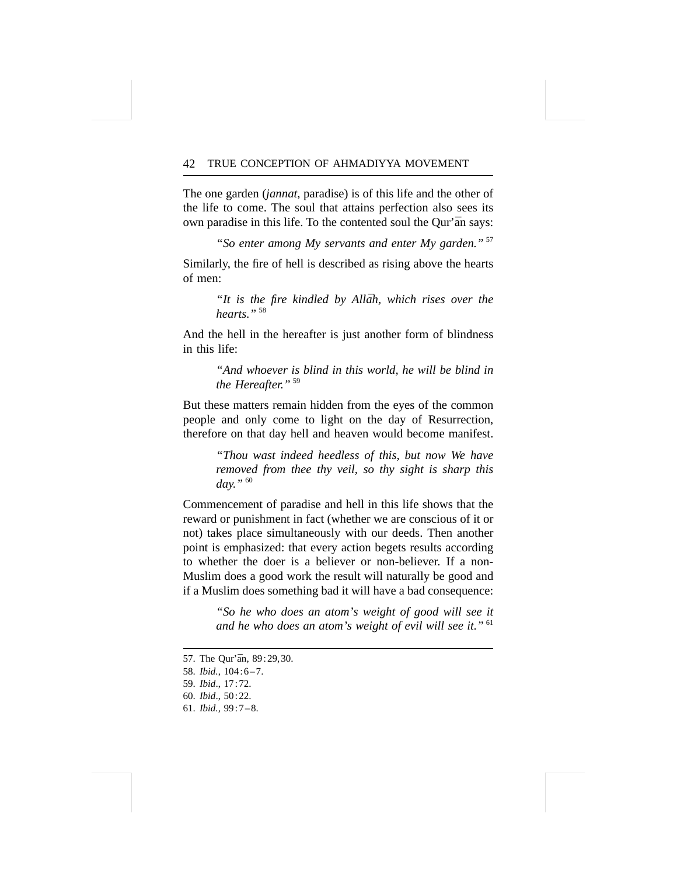The one garden (*jannat*, paradise) is of this life and the other of the life to come. The soul that attains perfection also sees its own paradise in this life. To the contented soul the Our'an says:

*"So enter among My servants and enter My garden."* <sup>57</sup>

Similarly, the fire of hell is described as rising above the hearts of men:

> "It is the fire kindled by Allah, which rises over the *hearts."* <sup>58</sup>

And the hell in the hereafter is just another form of blindness in this life:

> *"And whoever is blind in this world, he will be blind in the Hereafter."* <sup>59</sup>

But these matters remain hidden from the eyes of the common people and only come to light on the day of Resurrection, therefore on that day hell and heaven would become manifest.

> *"Thou wast indeed heedless of this, but now We have removed from thee thy veil, so thy sight is sharp this day."* <sup>60</sup>

Commencement of paradise and hell in this life shows that the reward or punishment in fact (whether we are conscious of it or not) takes place simultaneously with our deeds. Then another point is emphasized: that every action begets results according to whether the doer is a believer or non-believer. If a non-Muslim does a good work the result will naturally be good and if a Muslim does something bad it will have a bad consequence:

> *"So he who does an atom's weight of good will see it and he who does an atom's weight of evil will see it."* <sup>61</sup>

- 59. *Ibid*., 17:72.
- 60. *Ibid*., 50:22.
- 61. *Ibid.,* 99:7–8.

<sup>57.</sup> The Our'an, 89:29, 30.

<sup>58.</sup> *Ibid.*, 104:6–7.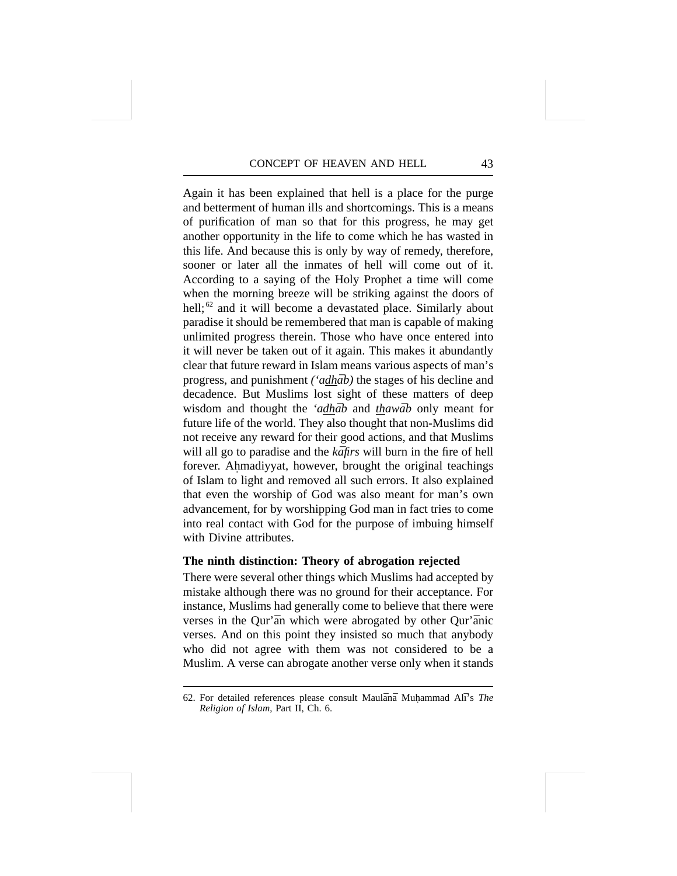Again it has been explained that hell is a place for the purge and betterment of human ills and shortcomings. This is a means of purification of man so that for this progress, he may get another opportunity in the life to come which he has wasted in this life. And because this is only by way of remedy, therefore, sooner or later all the inmates of hell will come out of it. According to a saying of the Holy Prophet a time will come when the morning breeze will be striking against the doors of hell; $^{62}$  and it will become a devastated place. Similarly about paradise it should be remembered that man is capable of making unlimited progress therein. Those who have once entered into it will never be taken out of it again. This makes it abundantly clear that future reward in Islam means various aspects of man's progress, and punishment *('adhab*) the stages of his decline and decadence. But Muslims lost sight of these matters of deep wisdom and thought the *'adhab* and *thawab* only meant for future life of the world. They also thought that non-Muslims did not receive any reward for their good actions, and that Muslims will all go to paradise and the *kafirs* will burn in the fire of hell forever. Ahmadiyyat, however, brought the original teachings **.** of Islam to light and removed all such errors. It also explained that even the worship of God was also meant for man's own advancement, for by worshipping God man in fact tries to come into real contact with God for the purpose of imbuing himself with Divine attributes.

# **The ninth distinction: Theory of abrogation rejected**

There were several other things which Muslims had accepted by mistake although there was no ground for their acceptance. For instance, Muslims had generally come to believe that there were verses in the Qur'an which were abrogated by other Qur'anic verses. And on this point they insisted so much that anybody who did not agree with them was not considered to be a Muslim. A verse can abrogate another verse only when it stands

<sup>62.</sup> For detailed references please consult Maulānā Muhammad Alī's The *Religion of Islam*, Part II, Ch. 6.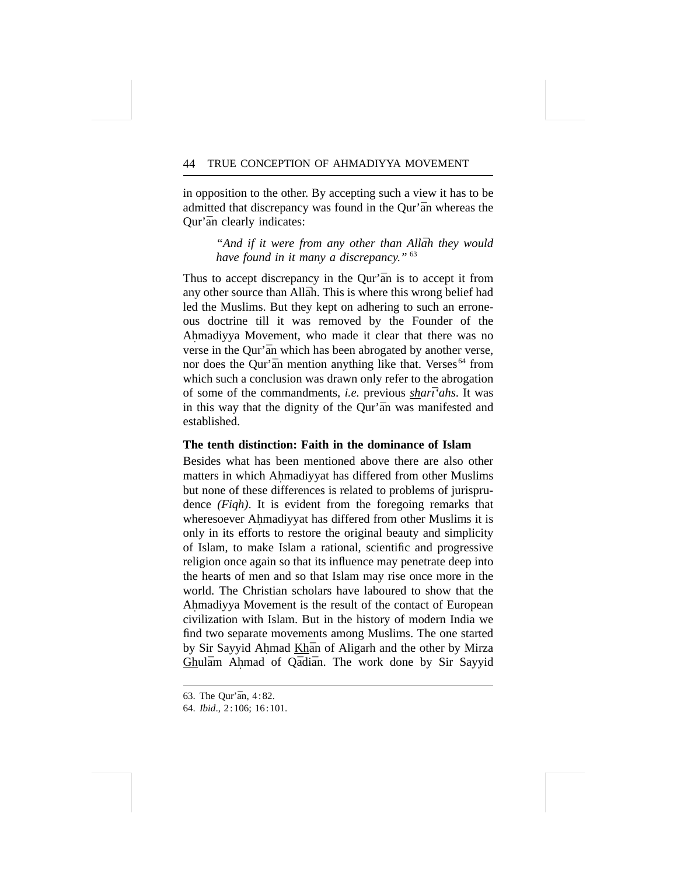in opposition to the other. By accepting such a view it has to be admitted that discrepancy was found in the Qur'an whereas the Our'an clearly indicates:

> *"And if it were from any other than Allāh they would have found in it many a discrepancy."* <sup>63</sup>

Thus to accept discrepancy in the Qur'an is to accept it from any other source than Allāh. This is where this wrong belief had led the Muslims. But they kept on adhering to such an erroneous doctrine till it was removed by the Founder of the Ahmadiyya Movement, who made it clear that there was no **.** verse in the Qur'an which has been abrogated by another verse, nor does the Qur'an mention anything like that. Verses<sup>64</sup> from which such a conclusion was drawn only refer to the abrogation of some of the commandments, *i.e.* previous *shart'ahs*. It was in this way that the dignity of the Qur'an was manifested and established.

# **The tenth distinction: Faith in the dominance of Islam**

Besides what has been mentioned above there are also other matters in which Ahmadiyyat has differed from other Muslims **.** but none of these differences is related to problems of jurisprudence *(Fiqh)*. It is evident from the foregoing remarks that wheresoever Ahmadiyyat has differed from other Muslims it is **.** only in its efforts to restore the original beauty and simplicity of Islam, to make Islam a rational, scientific and progressive religion once again so that its influence may penetrate deep into the hearts of men and so that Islam may rise once more in the world. The Christian scholars have laboured to show that the Ahmadiyya Movement is the result of the contact of European **.** civilization with Islam. But in the history of modern India we find two separate movements among Muslims. The one started by Sir Sayyid Ahmad Khan of Aligarh and the other by Mirza Ghulām Ahmad of Qādiān. The work done by Sir Sayyid

<sup>63.</sup> The Our'an,  $4:82$ .

<sup>64.</sup> *Ibid*., 2:106; 16:101.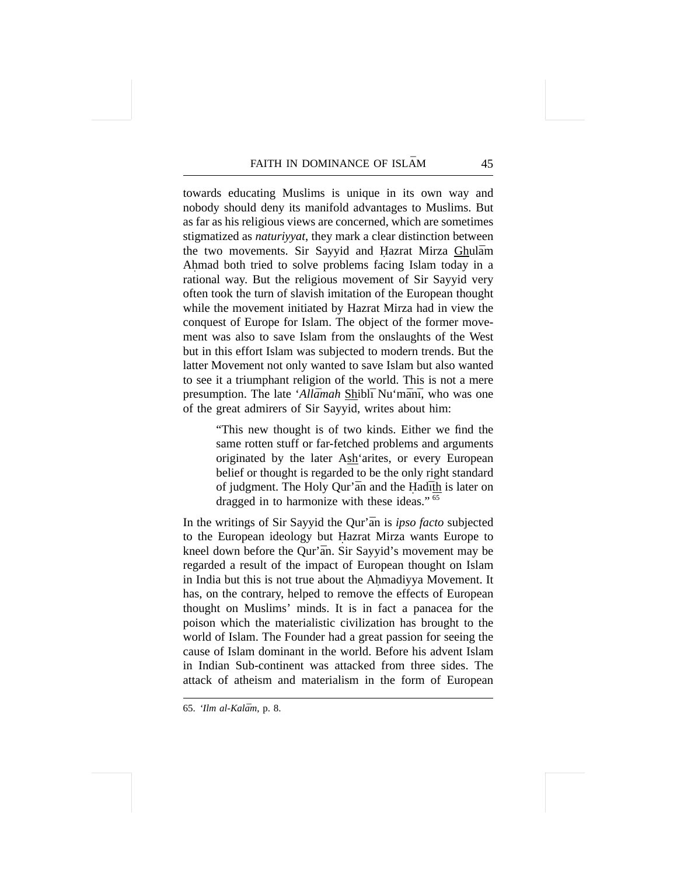towards educating Muslims is unique in its own way and nobody should deny its manifold advantages to Muslims. But as far as his religious views are concerned, which are sometimes stigmatized as *naturiyyat*, they mark a clear distinction between the two movements. Sir Sayyid and Hazrat Mirza Ghulām Ahmad both tried to solve problems facing Islam today in a **.** rational way. But the religious movement of Sir Sayyid very often took the turn of slavish imitation of the European thought while the movement initiated by Hazrat Mirza had in view the conquest of Europe for Islam. The object of the former movement was also to save Islam from the onslaughts of the West but in this effort Islam was subjected to modern trends. But the latter Movement not only wanted to save Islam but also wanted to see it a triumphant religion of the world. This is not a mere presumption. The late '*Allāmah* Shiblī Nu'mānī, who was one of the great admirers of Sir Sayyid, writes about him:

> "This new thought is of two kinds. Either we find the same rotten stuff or far-fetched problems and arguments originated by the later Ash'arites, or every European belief or thought is regarded to be the only right standard of judgment. The Holy Qur'an and the Hadith is later on dragged in to harmonize with these ideas." <sup>65</sup>

In the writings of Sir Sayyid the Qur'an is *ipso facto* subjected to the European ideology but Hazrat Mirza wants Europe to **.** kneel down before the Qur'an. Sir Sayyid's movement may be regarded a result of the impact of European thought on Islam in India but this is not true about the Ahmadiyya Movement. It **.** has, on the contrary, helped to remove the effects of European thought on Muslims' minds. It is in fact a panacea for the poison which the materialistic civilization has brought to the world of Islam. The Founder had a great passion for seeing the cause of Islam dominant in the world. Before his advent Islam in Indian Sub-continent was attacked from three sides. The attack of atheism and materialism in the form of European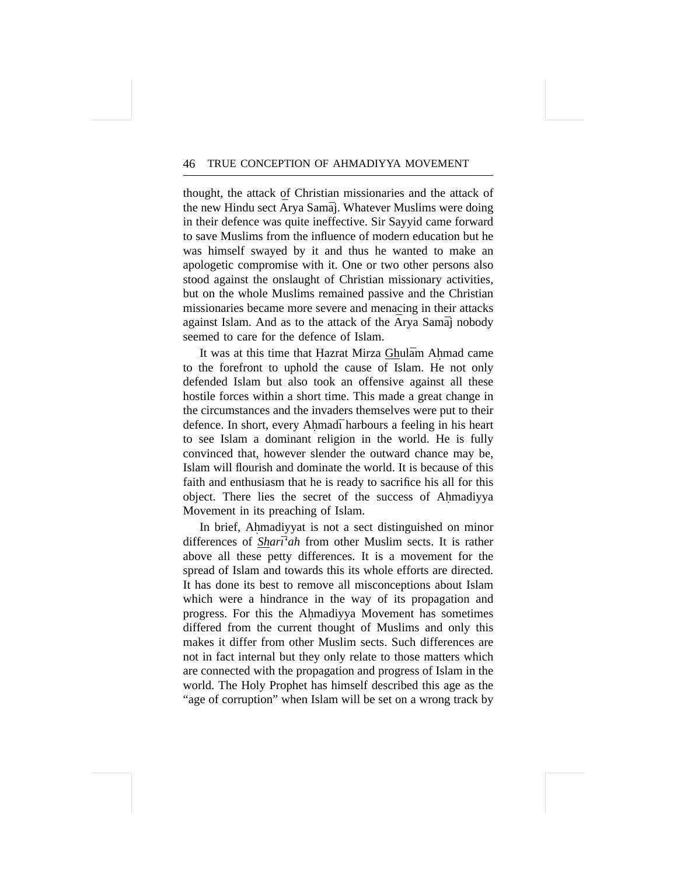thought, the attack of Christian missionaries and the attack of the new Hindu sect  $\bar{A}$ rya Sama $\bar{i}$ . Whatever Muslims were doing in their defence was quite ineffective. Sir Sayyid came forward to save Muslims from the influence of modern education but he was himself swayed by it and thus he wanted to make an apologetic compromise with it. One or two other persons also stood against the onslaught of Christian missionary activities, but on the whole Muslims remained passive and the Christian missionaries became more severe and menacing in their attacks against Islam. And as to the attack of the  $\bar{A}$ rya Sama $\bar{a}$  nobody seemed to care for the defence of Islam.

It was at this time that Hazrat Mirza Ghulām Ahmad came to the forefront to uphold the cause of Islam. He not only defended Islam but also took an offensive against all these hostile forces within a short time. This made a great change in the circumstances and the invaders themselves were put to their defence. In short, every Ahmad<del>i</del> harbours a feeling in his heart to see Islam a dominant religion in the world. He is fully convinced that, however slender the outward chance may be, Islam will flourish and dominate the world. It is because of this faith and enthusiasm that he is ready to sacrifice his all for this object. There lies the secret of the success of Ahmadiyya **.** Movement in its preaching of Islam.

In brief, Ahmadiyyat is not a sect distinguished on minor **.** differences of *Sharī'ah* from other Muslim sects. It is rather above all these petty differences. It is a movement for the spread of Islam and towards this its whole efforts are directed. It has done its best to remove all misconceptions about Islam which were a hindrance in the way of its propagation and progress. For this the Ahmadiyya Movement has sometimes **.** differed from the current thought of Muslims and only this makes it differ from other Muslim sects. Such differences are not in fact internal but they only relate to those matters which are connected with the propagation and progress of Islam in the world. The Holy Prophet has himself described this age as the "age of corruption" when Islam will be set on a wrong track by